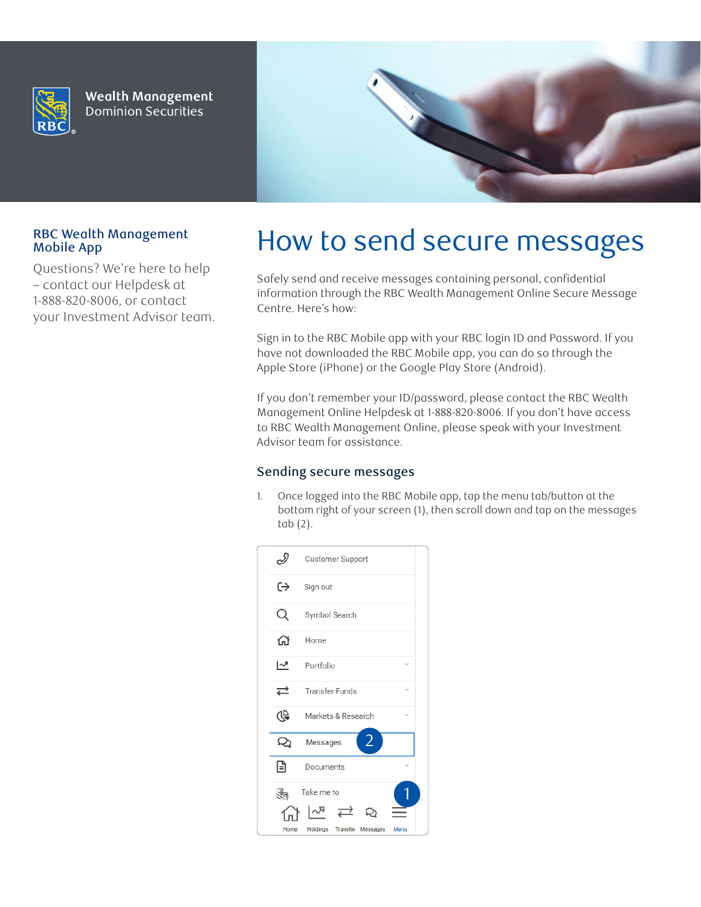

**Wealth Management Dominion Securities** 



# Mobile App

Questions? We're here to help – contact our Helpdesk at 1-888-820-8006, or contact your Investment Advisor team.

# RBC Wealth Management How to send secure messages

Safely send and receive messages containing personal, confidential information through the RBC Wealth Management Online Secure Message Centre. Here's how:

Sign in to the RBC Mobile app with your RBC login ID and Password. If you have not downloaded the RBC Mobile app, you can do so through the Apple Store (iPhone) or the Google Play Store (Android).

If you don't remember your ID/password, please contact the RBC Wealth Management Online Helpdesk at 1-888-820-8006. If you don't have access to RBC Wealth Management Online, please speak with your Investment Advisor team for assistance.

### Sending secure messages

1. Once logged into the RBC Mobile app, tap the menu tab/button at the bottom right of your screen (1), then scroll down and tap on the messages tab (2).

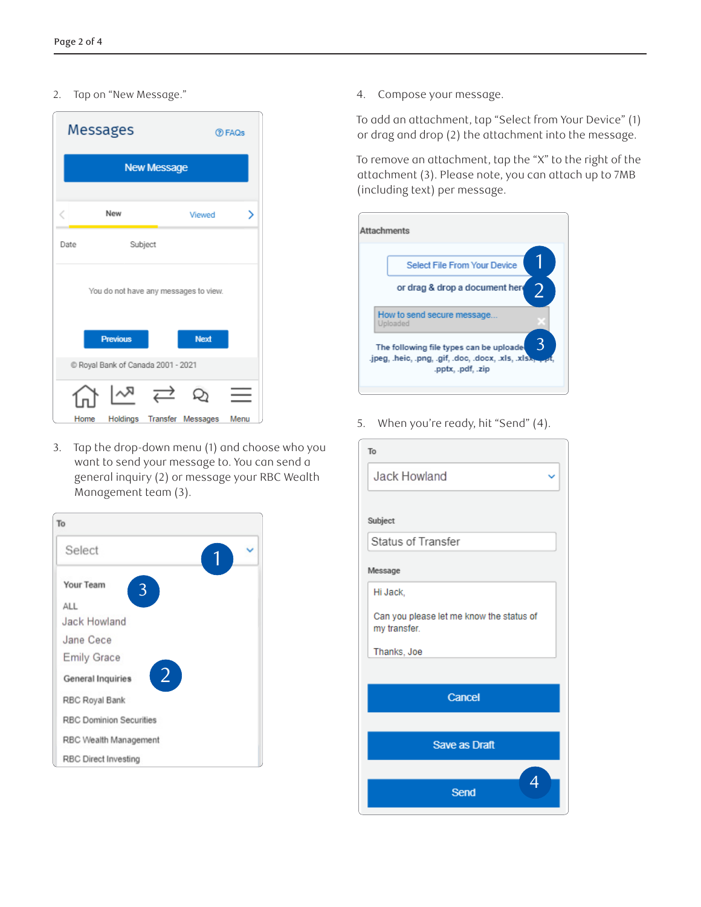#### 2. Tap on "New Message."

| Messages |                                       | <b>D</b> FAQs     |      |
|----------|---------------------------------------|-------------------|------|
|          | <b>New Message</b>                    |                   |      |
|          | New                                   | Viewed            | ⋋    |
| Date     | Subject                               |                   |      |
|          | You do not have any messages to view. |                   |      |
|          | <b>Previous</b>                       | Next              |      |
|          | C Royal Bank of Canada 2001 - 2021    |                   |      |
| Home     | Holdings                              | Transfer Messages | Menu |

3. Tap the drop-down menu (1) and choose who you want to send your message to. You can send a general inquiry (2) or message your RBC Wealth Management team (3).



4. Compose your message.

To add an attachment, tap "Select from Your Device" (1) or drag and drop (2) the attachment into the message.

To remove an attachment, tap the "X" to the right of the attachment (3). Please note, you can attach up to 7MB (including text) per message.



5. When you're ready, hit "Send" (4).

| To                                                       |
|----------------------------------------------------------|
| Jack Howland                                             |
|                                                          |
| Subject                                                  |
| Status of Transfer                                       |
| Message                                                  |
| Hi Jack,                                                 |
| Can you please let me know the status of<br>my transfer. |
| Thanks, Joe                                              |
|                                                          |
| Cancel                                                   |
|                                                          |
| Save as Draft                                            |
| 4                                                        |
| Send                                                     |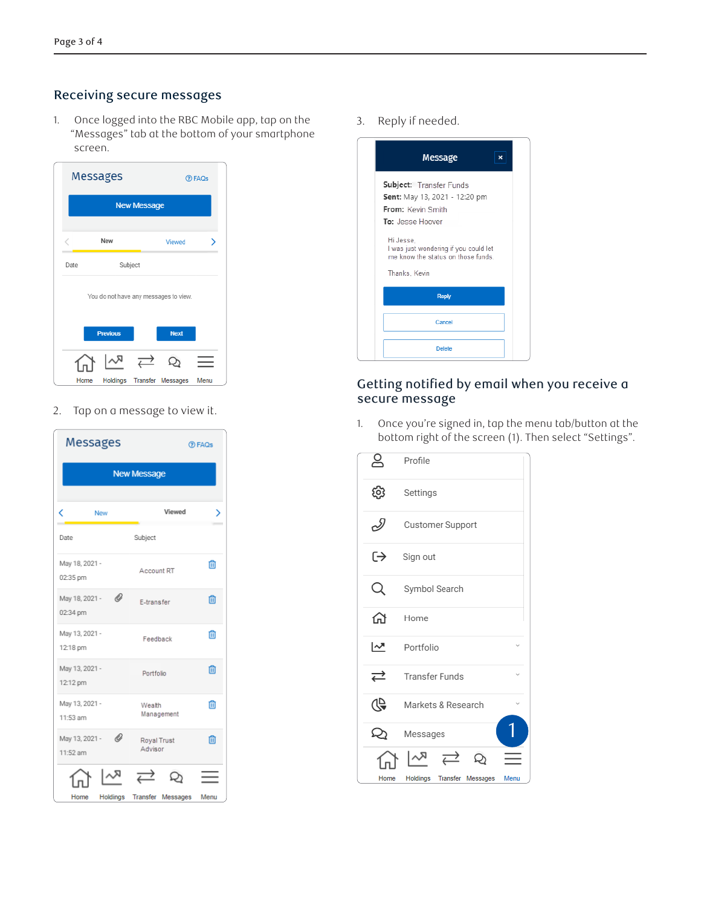## Receiving secure messages

1. Once logged into the RBC Mobile app, tap on the "Messages" tab at the bottom of your smartphone screen.

| Messages           |                                       |         | <b>DFAQs</b> |   |  |  |
|--------------------|---------------------------------------|---------|--------------|---|--|--|
| <b>New Message</b> |                                       |         |              |   |  |  |
|                    | New                                   |         | Viewed       | > |  |  |
| Date               |                                       | Subject |              |   |  |  |
|                    | You do not have any messages to view. |         |              |   |  |  |
|                    | <b>Previous</b>                       |         | Next         |   |  |  |
|                    |                                       |         |              |   |  |  |
|                    |                                       |         |              |   |  |  |

2. Tap on a message to view it.

| <b>Messages</b>                 |                            | <b>D</b> FAQs |  |  |  |
|---------------------------------|----------------------------|---------------|--|--|--|
| <b>New Message</b>              |                            |               |  |  |  |
| K<br>New                        | Viewed                     |               |  |  |  |
| Date                            | Subject                    |               |  |  |  |
| May 18, 2021 -<br>02:35 pm      | <b>Account RT</b>          | 侕             |  |  |  |
| O<br>May 18, 2021 -<br>02:34 pm | E-transfer                 | 侕             |  |  |  |
| May 13, 2021 -<br>12:18 pm      | Feedback                   | m             |  |  |  |
| May 13, 2021 -<br>12:12 pm      | Portfolio                  | 而             |  |  |  |
| May 13, 2021 -<br>11:53 am      | Wealth<br>Management       | 侕             |  |  |  |
| O<br>May 13, 2021 -<br>11:52 am | Royal Trust<br>Advisor     | 而             |  |  |  |
|                                 | ⇄                          |               |  |  |  |
| Home                            | Holdings Transfer Messages | Menu          |  |  |  |

3. Reply if needed.



# Getting notified by email when you receive a secure message

1. Once you're signed in, tap the menu tab/button at the bottom right of the screen (1). Then select "Settings".